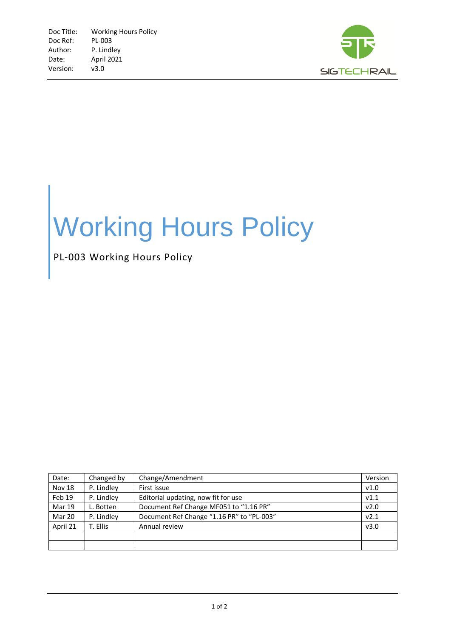

## Working Hours Policy

PL-003 Working Hours Policy

| Date:         | Changed by | Change/Amendment                          | Version |
|---------------|------------|-------------------------------------------|---------|
| Nov 18        | P. Lindley | First issue                               | v1.0    |
| Feb 19        | P. Lindley | Editorial updating, now fit for use       | V1.1    |
| <b>Mar 19</b> | L. Botten  | Document Ref Change MF051 to "1.16 PR"    | v2.0    |
| Mar 20        | P. Lindley | Document Ref Change "1.16 PR" to "PL-003" | v2.1    |
| April 21      | T. Ellis   | Annual review                             | v3.0    |
|               |            |                                           |         |
|               |            |                                           |         |